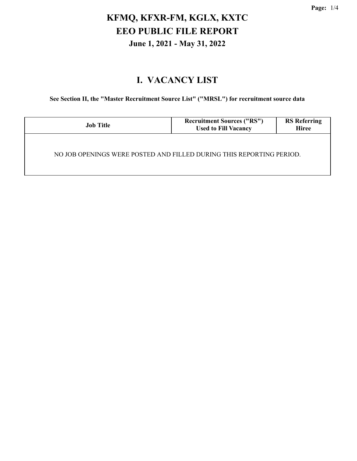# **KFMQ, KFXR-FM, KGLX, KXTC EEO PUBLIC FILE REPORT June 1, 2021 - May 31, 2022**

#### **I. VACANCY LIST**

**See Section II, the "Master Recruitment Source List" ("MRSL") for recruitment source data**

| <b>Job Title</b>                                                     | <b>Recruitment Sources ("RS")</b><br><b>Used to Fill Vacancy</b> | <b>RS</b> Referring<br><b>Hiree</b> |
|----------------------------------------------------------------------|------------------------------------------------------------------|-------------------------------------|
| NO JOB OPENINGS WERE POSTED AND FILLED DURING THIS REPORTING PERIOD. |                                                                  |                                     |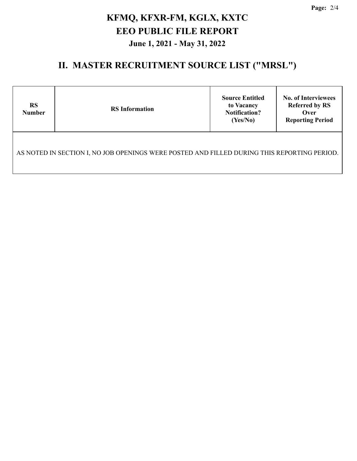**Page:** 2/4

# **KFMQ, KFXR-FM, KGLX, KXTC EEO PUBLIC FILE REPORT June 1, 2021 - May 31, 2022**

#### **II. MASTER RECRUITMENT SOURCE LIST ("MRSL")**

| <b>RS</b><br><b>Number</b>                                                                  | <b>RS</b> Information | <b>Source Entitled</b><br>to Vacancy<br><b>Notification?</b><br>(Yes/No) | <b>No. of Interviewees</b><br><b>Referred by RS</b><br>Over<br><b>Reporting Period</b> |  |
|---------------------------------------------------------------------------------------------|-----------------------|--------------------------------------------------------------------------|----------------------------------------------------------------------------------------|--|
| AS NOTED IN SECTION I, NO JOB OPENINGS WERE POSTED AND FILLED DURING THIS REPORTING PERIOD. |                       |                                                                          |                                                                                        |  |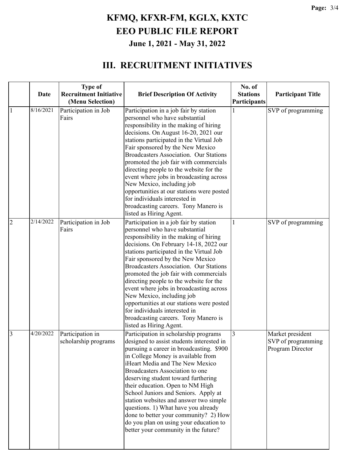# **KFMQ, KFXR-FM, KGLX, KXTC EEO PUBLIC FILE REPORT June 1, 2021 - May 31, 2022**

#### **III. RECRUITMENT INITIATIVES**

|                |           | <b>Type of</b>                                    |                                                                                                                                                                                                                                                                                                                                                                                                                                                                                                                                                                                                             | No. of                          |                                                            |
|----------------|-----------|---------------------------------------------------|-------------------------------------------------------------------------------------------------------------------------------------------------------------------------------------------------------------------------------------------------------------------------------------------------------------------------------------------------------------------------------------------------------------------------------------------------------------------------------------------------------------------------------------------------------------------------------------------------------------|---------------------------------|------------------------------------------------------------|
|                | Date      | <b>Recruitment Initiative</b><br>(Menu Selection) | <b>Brief Description Of Activity</b>                                                                                                                                                                                                                                                                                                                                                                                                                                                                                                                                                                        | <b>Stations</b><br>Participants | <b>Participant Title</b>                                   |
| 1              | 8/16/2021 | Participation in Job<br>Fairs                     | Participation in a job fair by station<br>personnel who have substantial<br>responsibility in the making of hiring<br>decisions. On August 16-20, 2021 our<br>stations participated in the Virtual Job<br>Fair sponsored by the New Mexico<br><b>Broadcasters Association. Our Stations</b><br>promoted the job fair with commercials<br>directing people to the website for the<br>event where jobs in broadcasting across<br>New Mexico, including job<br>opportunities at our stations were posted<br>for individuals interested in<br>broadcasting careers. Tony Manero is<br>listed as Hiring Agent.   |                                 | SVP of programming                                         |
| $\overline{2}$ | 2/14/2022 | Participation in Job<br>Fairs                     | Participation in a job fair by station<br>personnel who have substantial<br>responsibility in the making of hiring<br>decisions. On February 14-18, 2022 our<br>stations participated in the Virtual Job<br>Fair sponsored by the New Mexico<br><b>Broadcasters Association. Our Stations</b><br>promoted the job fair with commercials<br>directing people to the website for the<br>event where jobs in broadcasting across<br>New Mexico, including job<br>opportunities at our stations were posted<br>for individuals interested in<br>broadcasting careers. Tony Manero is<br>listed as Hiring Agent. | 1                               | SVP of programming                                         |
| 3              | 4/20/2022 | Participation in<br>scholarship programs          | Participation in scholarship programs<br>designed to assist students interested in<br>pursuing a career in broadcasting. \$900<br>in College Money is available from<br>iHeart Media and The New Mexico<br>Broadcasters Association to one<br>deserving student toward furthering<br>their education. Open to NM High<br>School Juniors and Seniors. Apply at<br>station websites and answer two simple<br>questions. 1) What have you already<br>done to better your community? 2) How<br>do you plan on using your education to<br>better your community in the future?                                   | 3                               | Market president<br>SVP of programming<br>Program Director |